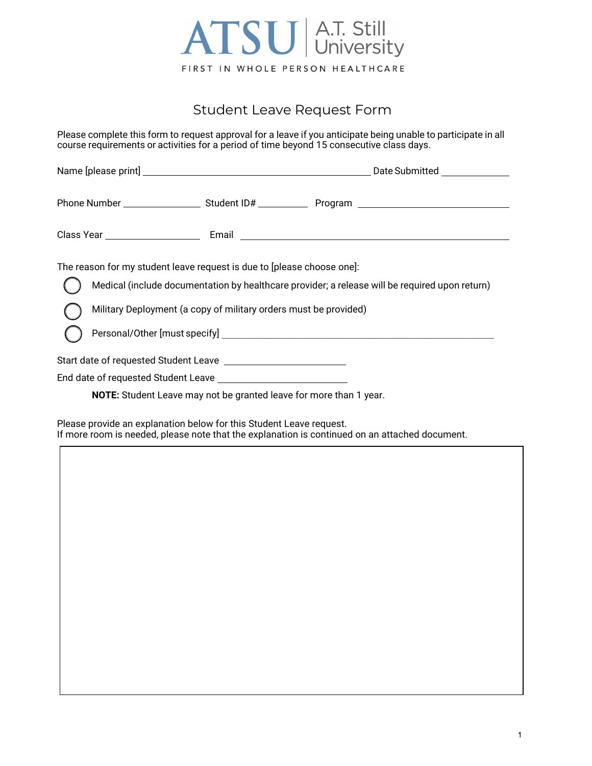

## Student Leave Request Form

Please complete this form to request approval for a leave if you anticipate being unable to participate in all course requirements or activities for a period of time beyond 15 consecutive class days.

| The reason for my student leave request is due to [please choose one]:<br>Military Deployment (a copy of military orders must be provided) | Medical (include documentation by healthcare provider; a release will be required upon return) |
|--------------------------------------------------------------------------------------------------------------------------------------------|------------------------------------------------------------------------------------------------|
|                                                                                                                                            |                                                                                                |
|                                                                                                                                            |                                                                                                |
| <b>NOTE:</b> Student Leave may not be granted leave for more than 1 year.                                                                  |                                                                                                |

Please provide an explanation below for this Student Leave request. If more room is needed, please note that the explanation is continued on an attached document.